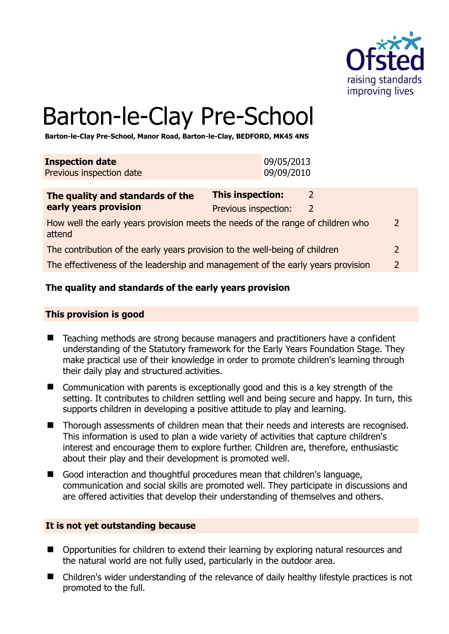

# Barton-le-Clay Pre-School

**Barton-le-Clay Pre-School, Manor Road, Barton-le-Clay, BEDFORD, MK45 4NS** 

| 09/05/2013<br>09/09/2010 |
|--------------------------|
|                          |
|                          |

| The quality and standards of the                                                          | <b>This inspection:</b> |   |   |
|-------------------------------------------------------------------------------------------|-------------------------|---|---|
| early years provision                                                                     | Previous inspection:    | 2 |   |
| How well the early years provision meets the needs of the range of children who<br>attend |                         |   | 2 |
| The contribution of the early years provision to the well-being of children               |                         |   |   |
| The effectiveness of the leadership and management of the early years provision           |                         |   |   |

# **The quality and standards of the early years provision**

#### **This provision is good**

- Teaching methods are strong because managers and practitioners have a confident understanding of the Statutory framework for the Early Years Foundation Stage. They make practical use of their knowledge in order to promote children's learning through their daily play and structured activities.
- Communication with parents is exceptionally good and this is a key strength of the setting. It contributes to children settling well and being secure and happy. In turn, this supports children in developing a positive attitude to play and learning.
- Thorough assessments of children mean that their needs and interests are recognised. This information is used to plan a wide variety of activities that capture children's interest and encourage them to explore further. Children are, therefore, enthusiastic about their play and their development is promoted well.
- Good interaction and thoughtful procedures mean that children's language, communication and social skills are promoted well. They participate in discussions and are offered activities that develop their understanding of themselves and others.

#### **It is not yet outstanding because**

- Opportunities for children to extend their learning by exploring natural resources and the natural world are not fully used, particularly in the outdoor area.
- Children's wider understanding of the relevance of daily healthy lifestyle practices is not promoted to the full.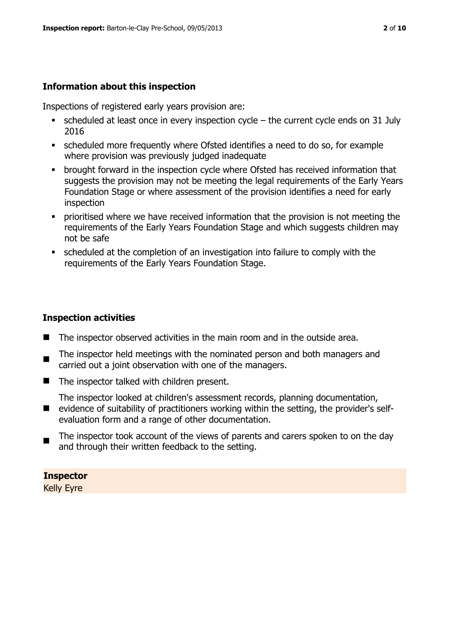# **Information about this inspection**

Inspections of registered early years provision are:

- $\bullet$  scheduled at least once in every inspection cycle the current cycle ends on 31 July 2016
- scheduled more frequently where Ofsted identifies a need to do so, for example where provision was previously judged inadequate
- brought forward in the inspection cycle where Ofsted has received information that suggests the provision may not be meeting the legal requirements of the Early Years Foundation Stage or where assessment of the provision identifies a need for early inspection
- prioritised where we have received information that the provision is not meeting the requirements of the Early Years Foundation Stage and which suggests children may not be safe
- scheduled at the completion of an investigation into failure to comply with the requirements of the Early Years Foundation Stage.

# **Inspection activities**

- The inspector observed activities in the main room and in the outside area.
- The inspector held meetings with the nominated person and both managers and carried out a joint observation with one of the managers.
- The inspector talked with children present.
	- The inspector looked at children's assessment records, planning documentation,
- **E** evidence of suitability of practitioners working within the setting, the provider's selfevaluation form and a range of other documentation.
- $\blacksquare$ The inspector took account of the views of parents and carers spoken to on the day and through their written feedback to the setting.

**Inspector**  Kelly Eyre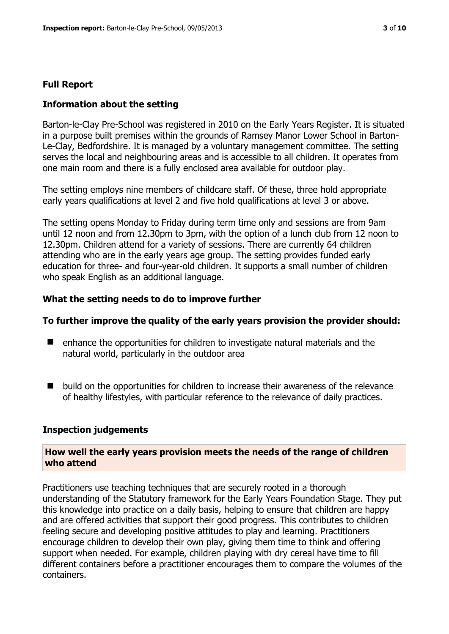#### **Full Report**

#### **Information about the setting**

Barton-le-Clay Pre-School was registered in 2010 on the Early Years Register. It is situated in a purpose built premises within the grounds of Ramsey Manor Lower School in Barton-Le-Clay, Bedfordshire. It is managed by a voluntary management committee. The setting serves the local and neighbouring areas and is accessible to all children. It operates from one main room and there is a fully enclosed area available for outdoor play.

The setting employs nine members of childcare staff. Of these, three hold appropriate early years qualifications at level 2 and five hold qualifications at level 3 or above.

The setting opens Monday to Friday during term time only and sessions are from 9am until 12 noon and from 12.30pm to 3pm, with the option of a lunch club from 12 noon to 12.30pm. Children attend for a variety of sessions. There are currently 64 children attending who are in the early years age group. The setting provides funded early education for three- and four-year-old children. It supports a small number of children who speak English as an additional language.

#### **What the setting needs to do to improve further**

#### **To further improve the quality of the early years provision the provider should:**

- enhance the opportunities for children to investigate natural materials and the natural world, particularly in the outdoor area
- $\blacksquare$  build on the opportunities for children to increase their awareness of the relevance of healthy lifestyles, with particular reference to the relevance of daily practices.

#### **Inspection judgements**

#### **How well the early years provision meets the needs of the range of children who attend**

Practitioners use teaching techniques that are securely rooted in a thorough understanding of the Statutory framework for the Early Years Foundation Stage. They put this knowledge into practice on a daily basis, helping to ensure that children are happy and are offered activities that support their good progress. This contributes to children feeling secure and developing positive attitudes to play and learning. Practitioners encourage children to develop their own play, giving them time to think and offering support when needed. For example, children playing with dry cereal have time to fill different containers before a practitioner encourages them to compare the volumes of the containers.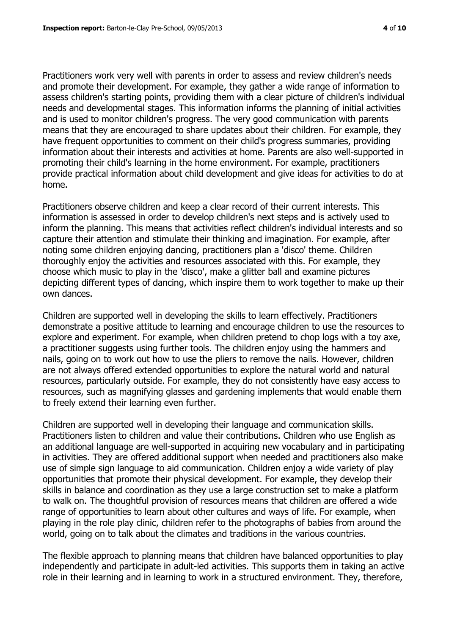Practitioners work very well with parents in order to assess and review children's needs and promote their development. For example, they gather a wide range of information to assess children's starting points, providing them with a clear picture of children's individual needs and developmental stages. This information informs the planning of initial activities and is used to monitor children's progress. The very good communication with parents means that they are encouraged to share updates about their children. For example, they have frequent opportunities to comment on their child's progress summaries, providing information about their interests and activities at home. Parents are also well-supported in promoting their child's learning in the home environment. For example, practitioners provide practical information about child development and give ideas for activities to do at home.

Practitioners observe children and keep a clear record of their current interests. This information is assessed in order to develop children's next steps and is actively used to inform the planning. This means that activities reflect children's individual interests and so capture their attention and stimulate their thinking and imagination. For example, after noting some children enjoying dancing, practitioners plan a 'disco' theme. Children thoroughly enjoy the activities and resources associated with this. For example, they choose which music to play in the 'disco', make a glitter ball and examine pictures depicting different types of dancing, which inspire them to work together to make up their own dances.

Children are supported well in developing the skills to learn effectively. Practitioners demonstrate a positive attitude to learning and encourage children to use the resources to explore and experiment. For example, when children pretend to chop logs with a toy axe, a practitioner suggests using further tools. The children enjoy using the hammers and nails, going on to work out how to use the pliers to remove the nails. However, children are not always offered extended opportunities to explore the natural world and natural resources, particularly outside. For example, they do not consistently have easy access to resources, such as magnifying glasses and gardening implements that would enable them to freely extend their learning even further.

Children are supported well in developing their language and communication skills. Practitioners listen to children and value their contributions. Children who use English as an additional language are well-supported in acquiring new vocabulary and in participating in activities. They are offered additional support when needed and practitioners also make use of simple sign language to aid communication. Children enjoy a wide variety of play opportunities that promote their physical development. For example, they develop their skills in balance and coordination as they use a large construction set to make a platform to walk on. The thoughtful provision of resources means that children are offered a wide range of opportunities to learn about other cultures and ways of life. For example, when playing in the role play clinic, children refer to the photographs of babies from around the world, going on to talk about the climates and traditions in the various countries.

The flexible approach to planning means that children have balanced opportunities to play independently and participate in adult-led activities. This supports them in taking an active role in their learning and in learning to work in a structured environment. They, therefore,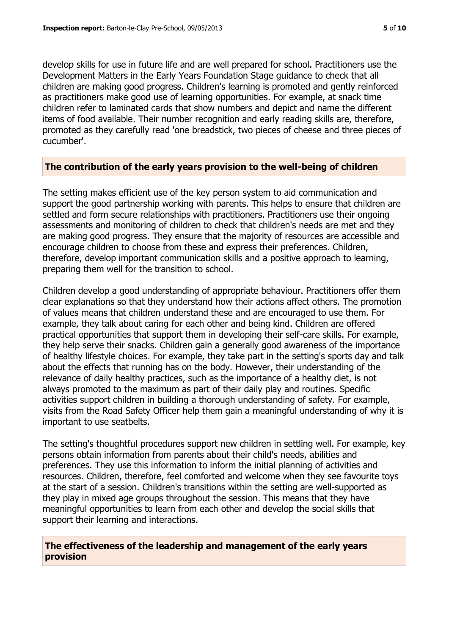develop skills for use in future life and are well prepared for school. Practitioners use the Development Matters in the Early Years Foundation Stage guidance to check that all children are making good progress. Children's learning is promoted and gently reinforced as practitioners make good use of learning opportunities. For example, at snack time children refer to laminated cards that show numbers and depict and name the different items of food available. Their number recognition and early reading skills are, therefore, promoted as they carefully read 'one breadstick, two pieces of cheese and three pieces of cucumber'.

#### **The contribution of the early years provision to the well-being of children**

The setting makes efficient use of the key person system to aid communication and support the good partnership working with parents. This helps to ensure that children are settled and form secure relationships with practitioners. Practitioners use their ongoing assessments and monitoring of children to check that children's needs are met and they are making good progress. They ensure that the majority of resources are accessible and encourage children to choose from these and express their preferences. Children, therefore, develop important communication skills and a positive approach to learning, preparing them well for the transition to school.

Children develop a good understanding of appropriate behaviour. Practitioners offer them clear explanations so that they understand how their actions affect others. The promotion of values means that children understand these and are encouraged to use them. For example, they talk about caring for each other and being kind. Children are offered practical opportunities that support them in developing their self-care skills. For example, they help serve their snacks. Children gain a generally good awareness of the importance of healthy lifestyle choices. For example, they take part in the setting's sports day and talk about the effects that running has on the body. However, their understanding of the relevance of daily healthy practices, such as the importance of a healthy diet, is not always promoted to the maximum as part of their daily play and routines. Specific activities support children in building a thorough understanding of safety. For example, visits from the Road Safety Officer help them gain a meaningful understanding of why it is important to use seatbelts.

The setting's thoughtful procedures support new children in settling well. For example, key persons obtain information from parents about their child's needs, abilities and preferences. They use this information to inform the initial planning of activities and resources. Children, therefore, feel comforted and welcome when they see favourite toys at the start of a session. Children's transitions within the setting are well-supported as they play in mixed age groups throughout the session. This means that they have meaningful opportunities to learn from each other and develop the social skills that support their learning and interactions.

#### **The effectiveness of the leadership and management of the early years provision**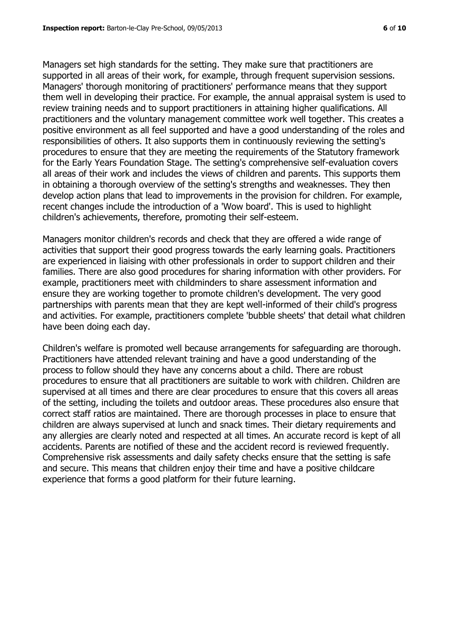Managers set high standards for the setting. They make sure that practitioners are supported in all areas of their work, for example, through frequent supervision sessions. Managers' thorough monitoring of practitioners' performance means that they support them well in developing their practice. For example, the annual appraisal system is used to review training needs and to support practitioners in attaining higher qualifications. All practitioners and the voluntary management committee work well together. This creates a positive environment as all feel supported and have a good understanding of the roles and responsibilities of others. It also supports them in continuously reviewing the setting's procedures to ensure that they are meeting the requirements of the Statutory framework for the Early Years Foundation Stage. The setting's comprehensive self-evaluation covers all areas of their work and includes the views of children and parents. This supports them in obtaining a thorough overview of the setting's strengths and weaknesses. They then develop action plans that lead to improvements in the provision for children. For example, recent changes include the introduction of a 'Wow board'. This is used to highlight children's achievements, therefore, promoting their self-esteem.

Managers monitor children's records and check that they are offered a wide range of activities that support their good progress towards the early learning goals. Practitioners are experienced in liaising with other professionals in order to support children and their families. There are also good procedures for sharing information with other providers. For example, practitioners meet with childminders to share assessment information and ensure they are working together to promote children's development. The very good partnerships with parents mean that they are kept well-informed of their child's progress and activities. For example, practitioners complete 'bubble sheets' that detail what children have been doing each day.

Children's welfare is promoted well because arrangements for safeguarding are thorough. Practitioners have attended relevant training and have a good understanding of the process to follow should they have any concerns about a child. There are robust procedures to ensure that all practitioners are suitable to work with children. Children are supervised at all times and there are clear procedures to ensure that this covers all areas of the setting, including the toilets and outdoor areas. These procedures also ensure that correct staff ratios are maintained. There are thorough processes in place to ensure that children are always supervised at lunch and snack times. Their dietary requirements and any allergies are clearly noted and respected at all times. An accurate record is kept of all accidents. Parents are notified of these and the accident record is reviewed frequently. Comprehensive risk assessments and daily safety checks ensure that the setting is safe and secure. This means that children enjoy their time and have a positive childcare experience that forms a good platform for their future learning.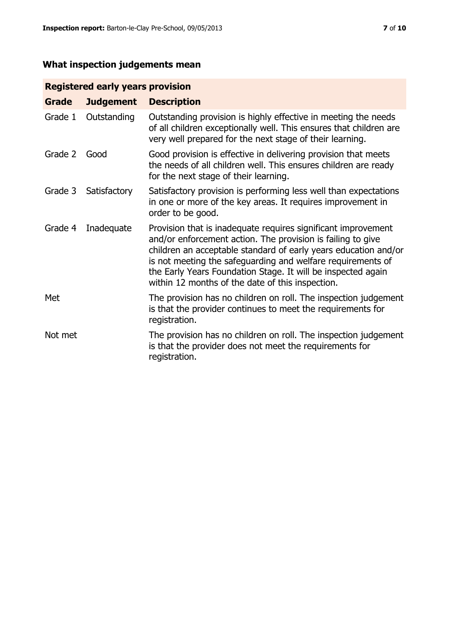# **What inspection judgements mean**

# **Registered early years provision**

| Grade   | <b>Judgement</b> | <b>Description</b>                                                                                                                                                                                                                                                                                                                                                                 |
|---------|------------------|------------------------------------------------------------------------------------------------------------------------------------------------------------------------------------------------------------------------------------------------------------------------------------------------------------------------------------------------------------------------------------|
| Grade 1 | Outstanding      | Outstanding provision is highly effective in meeting the needs<br>of all children exceptionally well. This ensures that children are<br>very well prepared for the next stage of their learning.                                                                                                                                                                                   |
| Grade 2 | Good             | Good provision is effective in delivering provision that meets<br>the needs of all children well. This ensures children are ready<br>for the next stage of their learning.                                                                                                                                                                                                         |
| Grade 3 | Satisfactory     | Satisfactory provision is performing less well than expectations<br>in one or more of the key areas. It requires improvement in<br>order to be good.                                                                                                                                                                                                                               |
| Grade 4 | Inadequate       | Provision that is inadequate requires significant improvement<br>and/or enforcement action. The provision is failing to give<br>children an acceptable standard of early years education and/or<br>is not meeting the safeguarding and welfare requirements of<br>the Early Years Foundation Stage. It will be inspected again<br>within 12 months of the date of this inspection. |
| Met     |                  | The provision has no children on roll. The inspection judgement<br>is that the provider continues to meet the requirements for<br>registration.                                                                                                                                                                                                                                    |
| Not met |                  | The provision has no children on roll. The inspection judgement<br>is that the provider does not meet the requirements for<br>registration.                                                                                                                                                                                                                                        |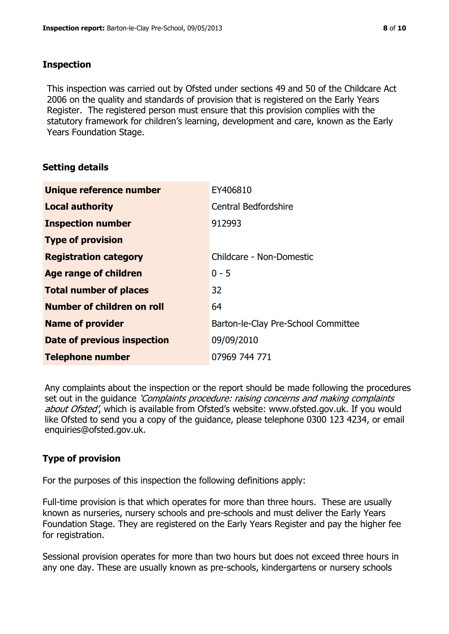#### **Inspection**

This inspection was carried out by Ofsted under sections 49 and 50 of the Childcare Act 2006 on the quality and standards of provision that is registered on the Early Years Register. The registered person must ensure that this provision complies with the statutory framework for children's learning, development and care, known as the Early Years Foundation Stage.

# **Setting details**

| Unique reference number       | EY406810                            |
|-------------------------------|-------------------------------------|
| <b>Local authority</b>        | <b>Central Bedfordshire</b>         |
| <b>Inspection number</b>      | 912993                              |
| <b>Type of provision</b>      |                                     |
| <b>Registration category</b>  | Childcare - Non-Domestic            |
| Age range of children         | $0 - 5$                             |
| <b>Total number of places</b> | 32                                  |
| Number of children on roll    | 64                                  |
| <b>Name of provider</b>       | Barton-le-Clay Pre-School Committee |
| Date of previous inspection   | 09/09/2010                          |
| <b>Telephone number</b>       | 07969 744 771                       |

Any complaints about the inspection or the report should be made following the procedures set out in the guidance *'Complaints procedure: raising concerns and making complaints* about Ofsted', which is available from Ofsted's website: www.ofsted.gov.uk. If you would like Ofsted to send you a copy of the guidance, please telephone 0300 123 4234, or email enquiries@ofsted.gov.uk.

# **Type of provision**

For the purposes of this inspection the following definitions apply:

Full-time provision is that which operates for more than three hours. These are usually known as nurseries, nursery schools and pre-schools and must deliver the Early Years Foundation Stage. They are registered on the Early Years Register and pay the higher fee for registration.

Sessional provision operates for more than two hours but does not exceed three hours in any one day. These are usually known as pre-schools, kindergartens or nursery schools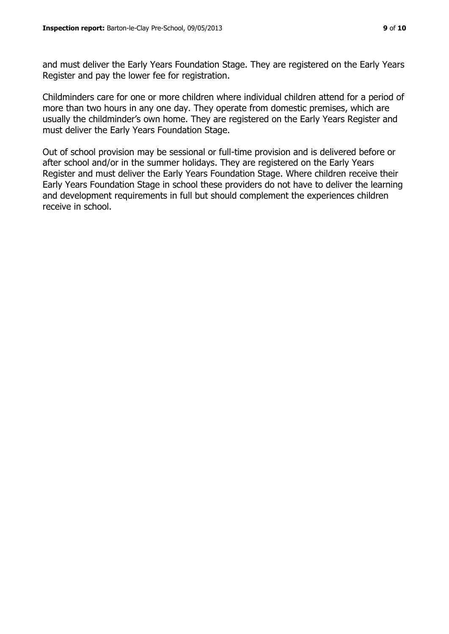and must deliver the Early Years Foundation Stage. They are registered on the Early Years Register and pay the lower fee for registration.

Childminders care for one or more children where individual children attend for a period of more than two hours in any one day. They operate from domestic premises, which are usually the childminder's own home. They are registered on the Early Years Register and must deliver the Early Years Foundation Stage.

Out of school provision may be sessional or full-time provision and is delivered before or after school and/or in the summer holidays. They are registered on the Early Years Register and must deliver the Early Years Foundation Stage. Where children receive their Early Years Foundation Stage in school these providers do not have to deliver the learning and development requirements in full but should complement the experiences children receive in school.